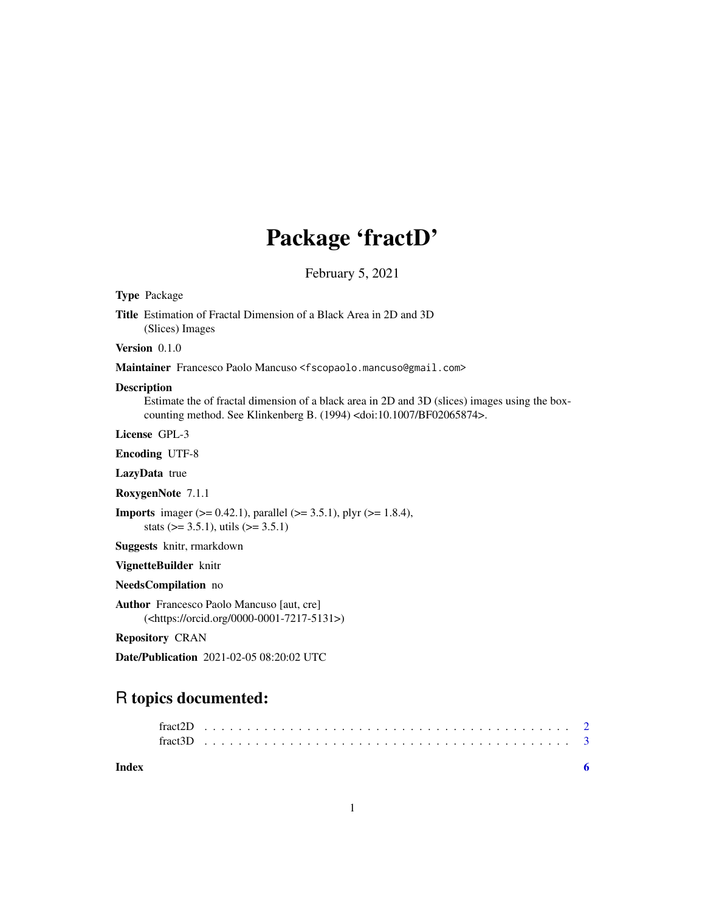## Package 'fractD'

February 5, 2021

Type Package

Title Estimation of Fractal Dimension of a Black Area in 2D and 3D (Slices) Images

Version 0.1.0

Maintainer Francesco Paolo Mancuso <fscopaolo.mancuso@gmail.com>

#### Description

Estimate the of fractal dimension of a black area in 2D and 3D (slices) images using the boxcounting method. See Klinkenberg B. (1994) <doi:10.1007/BF02065874>.

License GPL-3

Encoding UTF-8

LazyData true

RoxygenNote 7.1.1

**Imports** imager ( $> = 0.42.1$ ), parallel ( $> = 3.5.1$ ), plyr ( $> = 1.8.4$ ), stats ( $> = 3.5.1$ ), utils ( $> = 3.5.1$ )

Suggests knitr, rmarkdown

VignetteBuilder knitr

NeedsCompilation no

Author Francesco Paolo Mancuso [aut, cre] (<https://orcid.org/0000-0001-7217-5131>)

Repository CRAN

Date/Publication 2021-02-05 08:20:02 UTC

### R topics documented:

**Index** [6](#page-5-0) **6**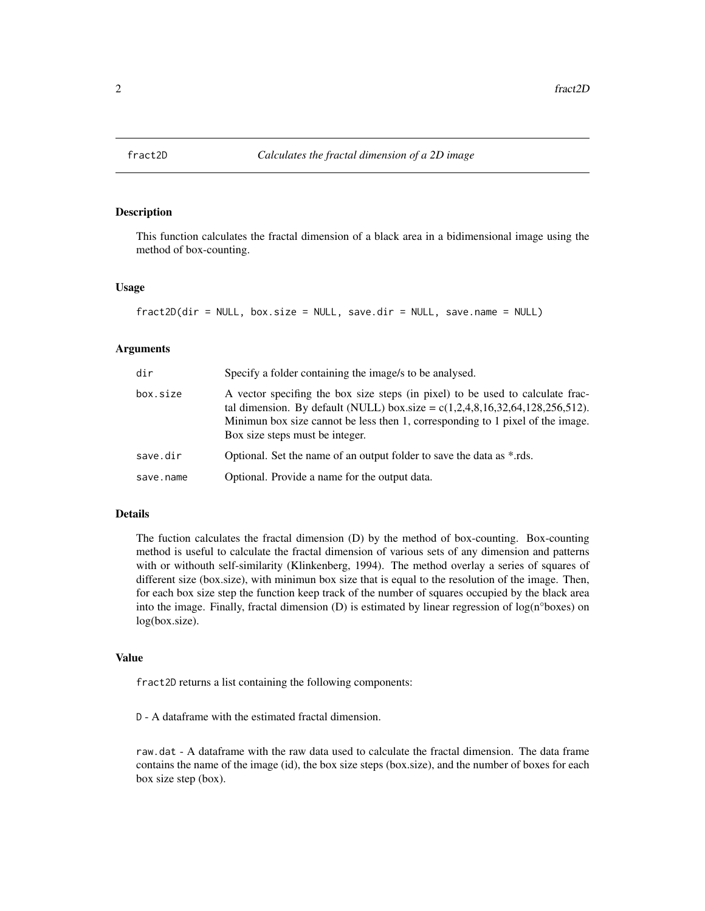<span id="page-1-0"></span>

#### Description

This function calculates the fractal dimension of a black area in a bidimensional image using the method of box-counting.

#### Usage

```
fract2D(dir = NULL, box.size = NULL, save-dir = NULL, save.name = NULL)
```
#### Arguments

| dir       | Specify a folder containing the image/s to be analysed.                                                                                                                                                                                                                                |
|-----------|----------------------------------------------------------------------------------------------------------------------------------------------------------------------------------------------------------------------------------------------------------------------------------------|
| box.size  | A vector specifing the box size steps (in pixel) to be used to calculate frac-<br>tal dimension. By default (NULL) box.size = $c(1,2,4,8,16,32,64,128,256,512)$ .<br>Minimun box size cannot be less then 1, corresponding to 1 pixel of the image.<br>Box size steps must be integer. |
| save.dir  | Optional. Set the name of an output folder to save the data as *.rds.                                                                                                                                                                                                                  |
| save.name | Optional. Provide a name for the output data.                                                                                                                                                                                                                                          |

#### Details

The fuction calculates the fractal dimension (D) by the method of box-counting. Box-counting method is useful to calculate the fractal dimension of various sets of any dimension and patterns with or withouth self-similarity (Klinkenberg, 1994). The method overlay a series of squares of different size (box.size), with minimun box size that is equal to the resolution of the image. Then, for each box size step the function keep track of the number of squares occupied by the black area into the image. Finally, fractal dimension  $(D)$  is estimated by linear regression of  $log(n^{\circ}$ boxes) on log(box.size).

#### Value

fract2D returns a list containing the following components:

D - A dataframe with the estimated fractal dimension.

raw.dat - A dataframe with the raw data used to calculate the fractal dimension. The data frame contains the name of the image (id), the box size steps (box.size), and the number of boxes for each box size step (box).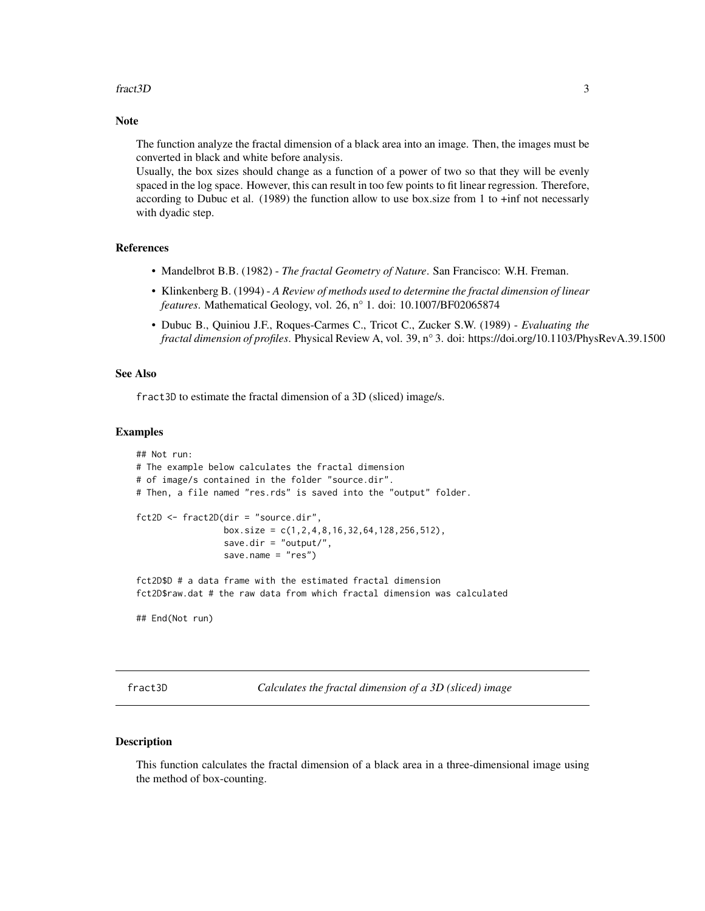#### <span id="page-2-0"></span>fract3D 3

#### Note

The function analyze the fractal dimension of a black area into an image. Then, the images must be converted in black and white before analysis.

Usually, the box sizes should change as a function of a power of two so that they will be evenly spaced in the log space. However, this can result in too few points to fit linear regression. Therefore, according to Dubuc et al. (1989) the function allow to use box.size from 1 to +inf not necessarly with dyadic step.

#### References

- Mandelbrot B.B. (1982) *The fractal Geometry of Nature*. San Francisco: W.H. Freman.
- Klinkenberg B. (1994) *A Review of methods used to determine the fractal dimension of linear features*. Mathematical Geology, vol. 26, n° 1. doi: 10.1007/BF02065874
- Dubuc B., Quiniou J.F., Roques-Carmes C., Tricot C., Zucker S.W. (1989) *Evaluating the fractal dimension of profiles*. Physical Review A, vol. 39, n° 3. doi: https://doi.org/10.1103/PhysRevA.39.1500

#### See Also

fract3D to estimate the fractal dimension of a 3D (sliced) image/s.

#### Examples

```
## Not run:
# The example below calculates the fractal dimension
# of image/s contained in the folder "source.dir".
# Then, a file named "res.rds" is saved into the "output" folder.
fct2D <- fract2D(dir = "source.dir",
                 box.size = c(1, 2, 4, 8, 16, 32, 64, 128, 256, 512),
                 save.dir = "output/",
                 save.name = "res")
fct2D$D # a data frame with the estimated fractal dimension
fct2D$raw.dat # the raw data from which fractal dimension was calculated
```
## End(Not run)

fract3D *Calculates the fractal dimension of a 3D (sliced) image*

#### **Description**

This function calculates the fractal dimension of a black area in a three-dimensional image using the method of box-counting.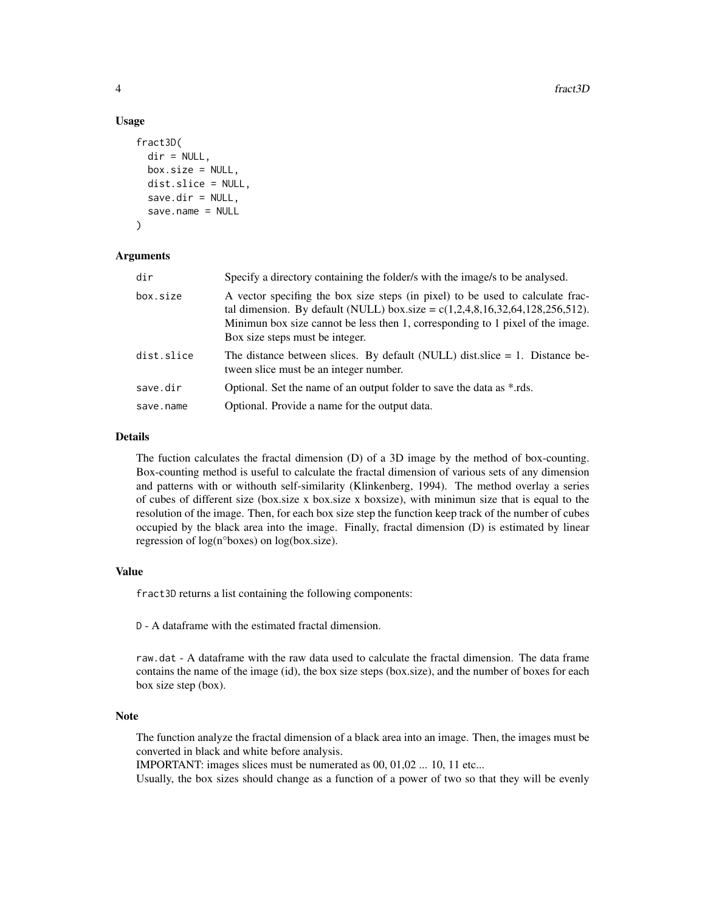#### Usage

```
fract3D(
  dir = NULL,box.size = NULL,
  dist.slice = NULL,
  save-dir = NULL,save.name = NULL
)
```
#### Arguments

| dir        | Specify a directory containing the folder/s with the image/s to be analysed.                                                                                                                                                                                                           |
|------------|----------------------------------------------------------------------------------------------------------------------------------------------------------------------------------------------------------------------------------------------------------------------------------------|
| box.size   | A vector specifing the box size steps (in pixel) to be used to calculate frac-<br>tal dimension. By default (NULL) box.size = $c(1,2,4,8,16,32,64,128,256,512)$ .<br>Minimum box size cannot be less then 1, corresponding to 1 pixel of the image.<br>Box size steps must be integer. |
| dist.slice | The distance between slices. By default (NULL) dist slice $= 1$ . Distance be-<br>tween slice must be an integer number.                                                                                                                                                               |
| save.dir   | Optional. Set the name of an output folder to save the data as *.rds.                                                                                                                                                                                                                  |
| save.name  | Optional. Provide a name for the output data.                                                                                                                                                                                                                                          |

#### Details

The fuction calculates the fractal dimension (D) of a 3D image by the method of box-counting. Box-counting method is useful to calculate the fractal dimension of various sets of any dimension and patterns with or withouth self-similarity (Klinkenberg, 1994). The method overlay a series of cubes of different size (box.size x box.size x boxsize), with minimun size that is equal to the resolution of the image. Then, for each box size step the function keep track of the number of cubes occupied by the black area into the image. Finally, fractal dimension (D) is estimated by linear regression of log(n°boxes) on log(box.size).

#### Value

fract3D returns a list containing the following components:

D - A dataframe with the estimated fractal dimension.

raw.dat - A dataframe with the raw data used to calculate the fractal dimension. The data frame contains the name of the image (id), the box size steps (box.size), and the number of boxes for each box size step (box).

#### Note

The function analyze the fractal dimension of a black area into an image. Then, the images must be converted in black and white before analysis.

IMPORTANT: images slices must be numerated as 00, 01,02 ... 10, 11 etc...

Usually, the box sizes should change as a function of a power of two so that they will be evenly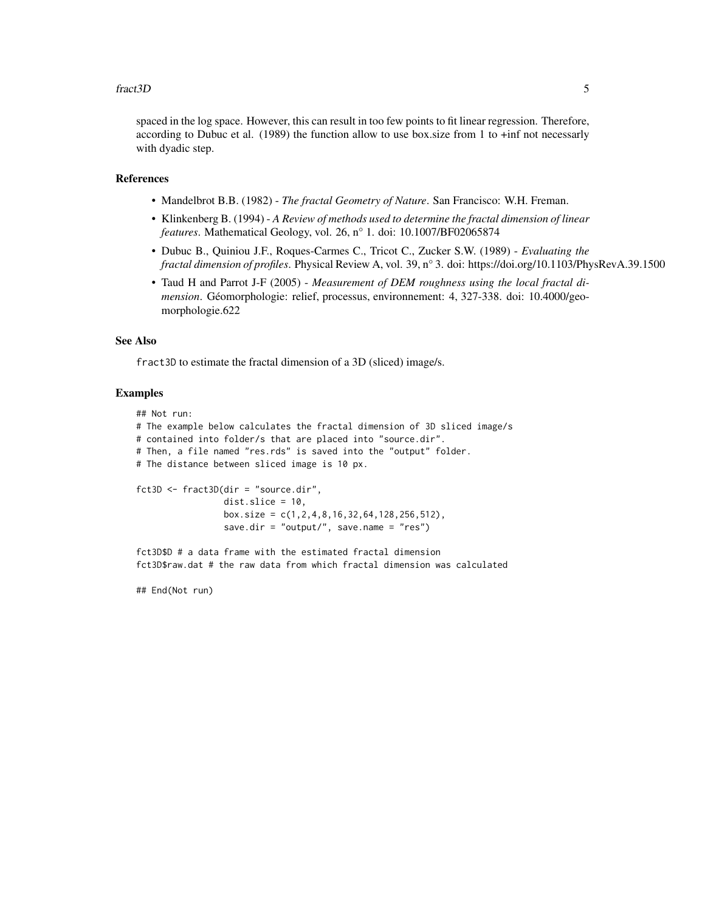#### fract3D 5

spaced in the log space. However, this can result in too few points to fit linear regression. Therefore, according to Dubuc et al. (1989) the function allow to use box.size from 1 to +inf not necessarly with dyadic step.

#### References

- Mandelbrot B.B. (1982) *The fractal Geometry of Nature*. San Francisco: W.H. Freman.
- Klinkenberg B. (1994) *A Review of methods used to determine the fractal dimension of linear features*. Mathematical Geology, vol. 26, n° 1. doi: 10.1007/BF02065874
- Dubuc B., Quiniou J.F., Roques-Carmes C., Tricot C., Zucker S.W. (1989) *Evaluating the fractal dimension of profiles*. Physical Review A, vol. 39, n° 3. doi: https://doi.org/10.1103/PhysRevA.39.1500
- Taud H and Parrot J-F (2005) *Measurement of DEM roughness using the local fractal dimension*. Géomorphologie: relief, processus, environnement: 4, 327-338. doi: 10.4000/geomorphologie.622

#### See Also

fract3D to estimate the fractal dimension of a 3D (sliced) image/s.

#### Examples

## Not run:

```
# The example below calculates the fractal dimension of 3D sliced image/s
# contained into folder/s that are placed into "source.dir".
# Then, a file named "res.rds" is saved into the "output" folder.
# The distance between sliced image is 10 px.
fct3D <- fract3D(dir = "source.dir",
                dist.slice = 10,
```
box.size = c(1,2,4,8,16,32,64,128,256,512), save.dir = "output/", save.name = "res")

fct3D\$D # a data frame with the estimated fractal dimension fct3D\$raw.dat # the raw data from which fractal dimension was calculated

## End(Not run)